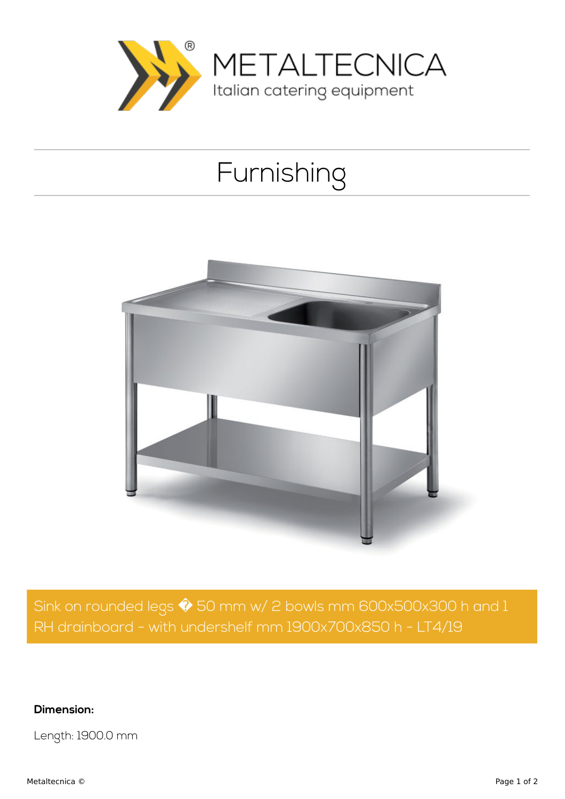

## Furnishing



Sink on rounded legs  $\hat{\blacklozenge}$  50 mm w/ 2 bowls mm 600x500x300 h and 1 RH drainboard - with undershelf mm 1900x700x850 h - LT4/19

**Dimension:**

Length: 1900.0 mm